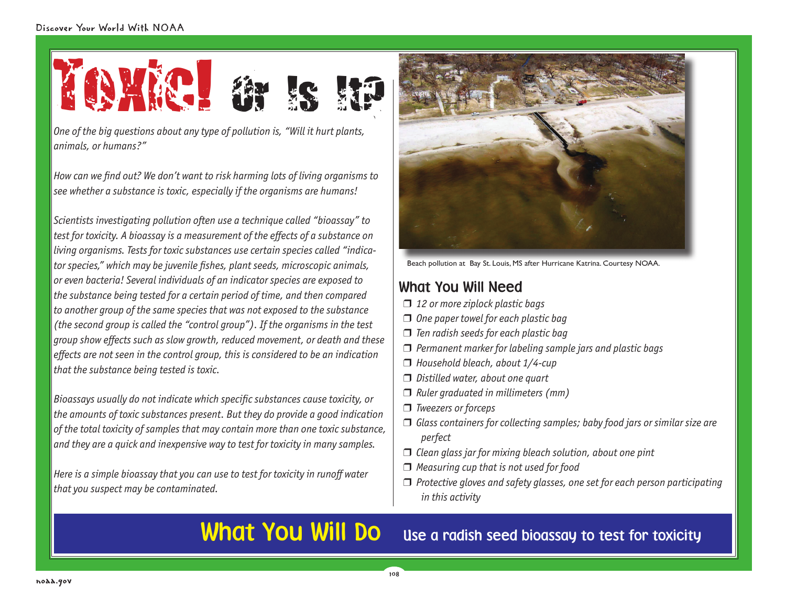

*One of the big questions about any type of pollution is, "Will it hurt plants, animals, or humans?"*

*How can we fi nd out? We don't want to risk harming lots of living organisms to see whether a substance is toxic, especially if the organisms are humans!* 

*Scientists investigating pollution often use a technique called "bioassay" to test for toxicity. A bioassay is a measurement of the effects of a substance on living organisms. Tests for toxic substances use certain species called "indicator species," which may be juvenile fi shes, plant seeds, microscopic animals, or even bacteria! Several individuals of an indicator species are exposed to the substance being tested for a certain period of time, and then compared to another group of the same species that was not exposed to the substance (the second group is called the "control group"). If the organisms in the test group show eff ects such as slow growth, reduced movement, or death and these eff ects are not seen in the control group, this is considered to be an indication that the substance being tested is toxic.*

*Bioassays usually do not indicate which specific substances cause toxicity, or the amounts of toxic substances present. But they do provide a good indication of the total toxicity of samples that may contain more than one toxic substance, and they are a quick and inexpensive way to test for toxicity in many samples.*

*Here is a simple bioassay that you can use to test for toxicity in runoff water that you suspect may be contaminated.*



Beach pollution at Bay St. Louis, MS after Hurricane Katrina. Courtesy NOAA.

# What You Will Need

- ❒ *12 or more ziplock plastic bags*
- ❒ *One paper towel for each plastic bag*
- ❒ *Ten radish seeds for each plastic bag*
- ❒ *Permanent marker for labeling sample jars and plastic bags*
- ❒ *Household bleach, about 1/4-cup*
- ❒ *Distilled water, about one quart*
- ❒ *Ruler graduated in millimeters (mm)*
- ❒ *Tweezers or forceps*
- ❒ *Glass containers for collecting samples; baby food jars or similar size are perfect*
- ❒ *Clean glass jar for mixing bleach solution, about one pint*
- ❒ *Measuring cup that is not used for food*
- ❒ *Protective gloves and safety glasses, one set for each person participating in this activity*

What You Will Do use a radish seed bioassay to test for toxicity